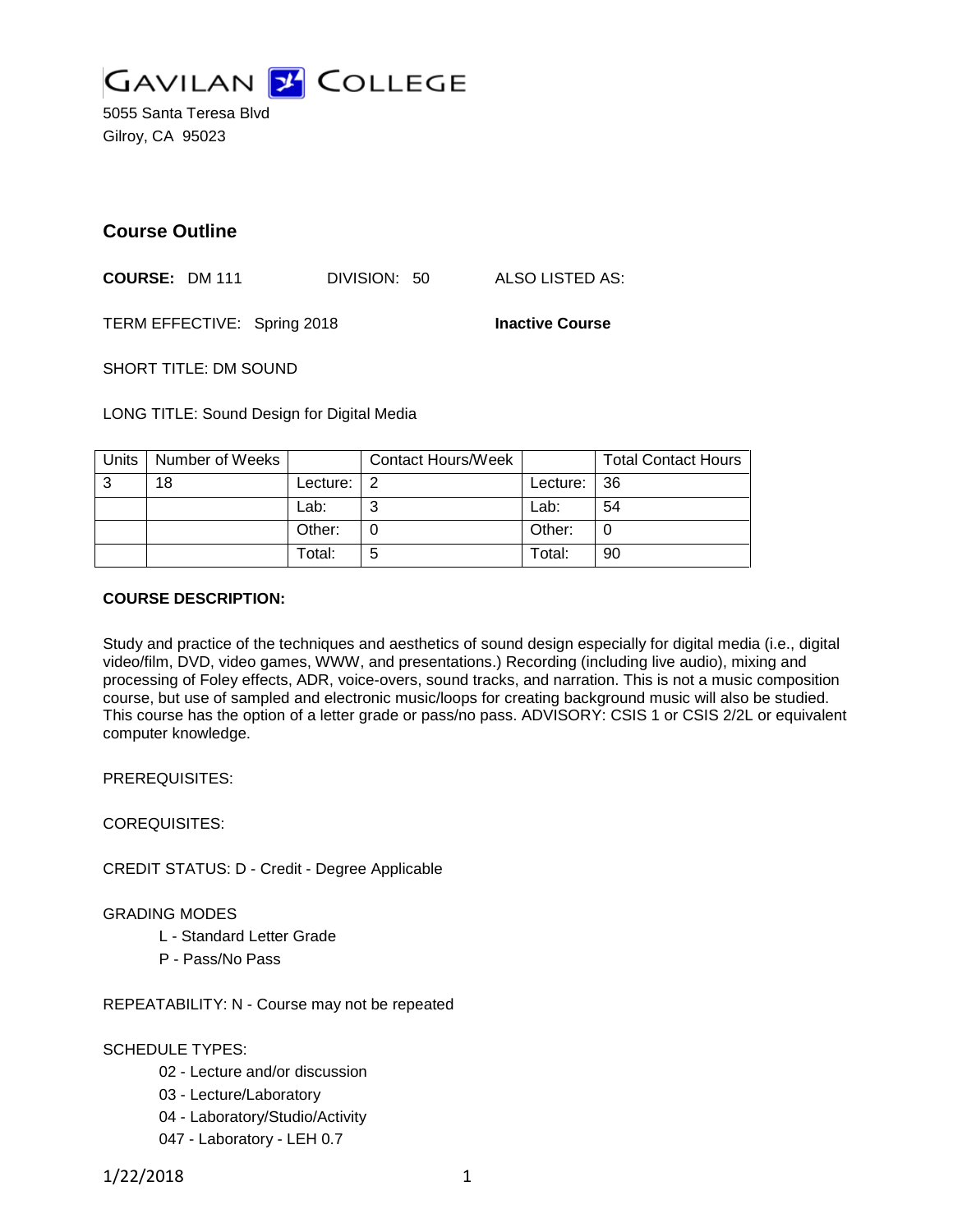

5055 Santa Teresa Blvd Gilroy, CA 95023

# **Course Outline**

**COURSE:** DM 111 DIVISION: 50 ALSO LISTED AS:

TERM EFFECTIVE: Spring 2018 **Inactive Course**

SHORT TITLE: DM SOUND

LONG TITLE: Sound Design for Digital Media

| Units | Number of Weeks |          | <b>Contact Hours/Week</b> |             | <b>Total Contact Hours</b> |
|-------|-----------------|----------|---------------------------|-------------|----------------------------|
| 3     | 18              | Lecture: |                           | Lecture: 36 |                            |
|       |                 | Lab:     | ⌒                         | Lab:        | 54                         |
|       |                 | Other:   |                           | Other:      | 0                          |
|       |                 | Total:   | 5                         | Гotal:      | 90                         |

### **COURSE DESCRIPTION:**

Study and practice of the techniques and aesthetics of sound design especially for digital media (i.e., digital video/film, DVD, video games, WWW, and presentations.) Recording (including live audio), mixing and processing of Foley effects, ADR, voice-overs, sound tracks, and narration. This is not a music composition course, but use of sampled and electronic music/loops for creating background music will also be studied. This course has the option of a letter grade or pass/no pass. ADVISORY: CSIS 1 or CSIS 2/2L or equivalent computer knowledge.

PREREQUISITES:

COREQUISITES:

CREDIT STATUS: D - Credit - Degree Applicable

#### GRADING MODES

- L Standard Letter Grade
- P Pass/No Pass

REPEATABILITY: N - Course may not be repeated

SCHEDULE TYPES:

- 02 Lecture and/or discussion
- 03 Lecture/Laboratory
- 04 Laboratory/Studio/Activity
- 047 Laboratory LEH 0.7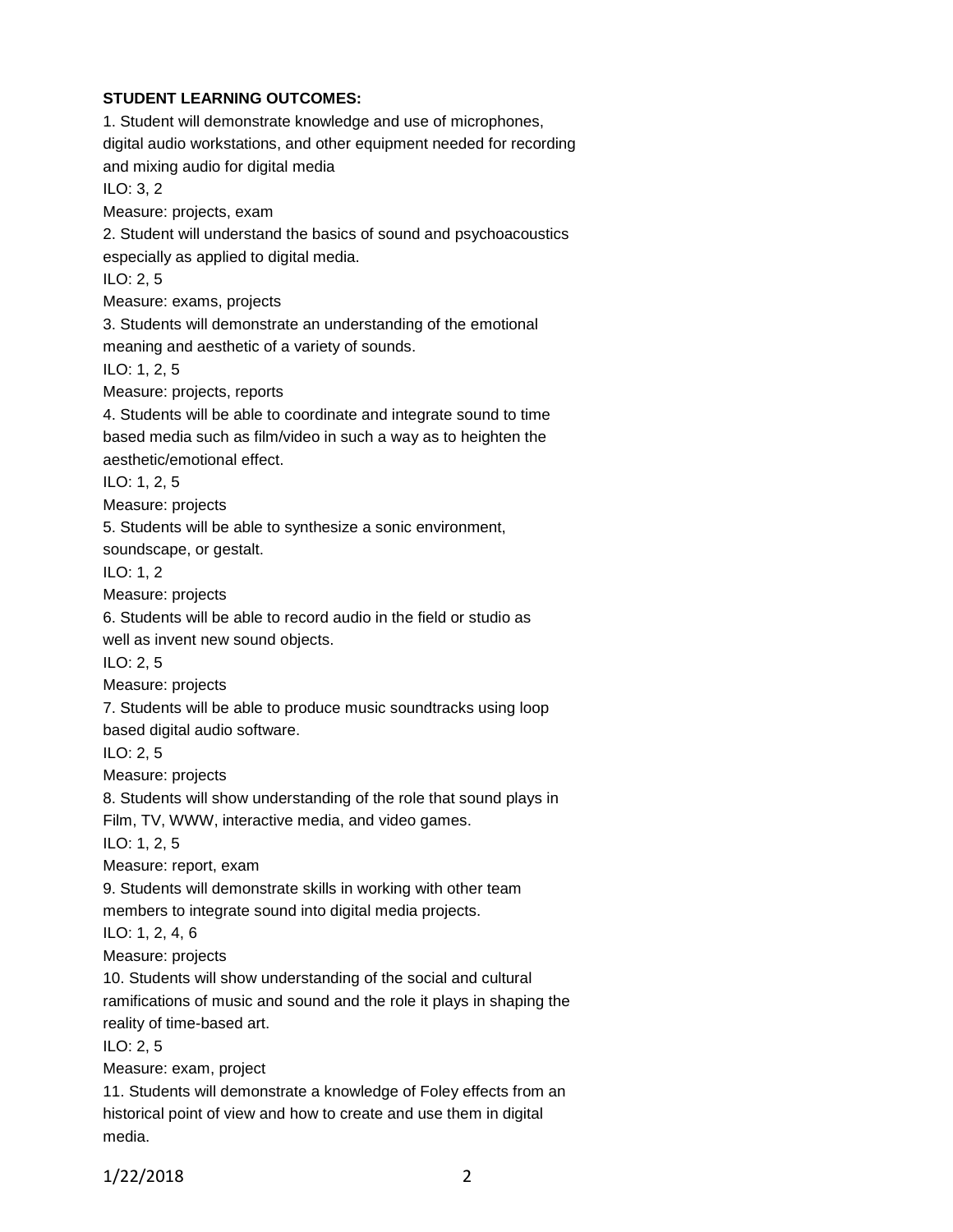#### **STUDENT LEARNING OUTCOMES:**

1. Student will demonstrate knowledge and use of microphones, digital audio workstations, and other equipment needed for recording and mixing audio for digital media ILO: 3, 2 Measure: projects, exam 2. Student will understand the basics of sound and psychoacoustics especially as applied to digital media. ILO: 2, 5 Measure: exams, projects 3. Students will demonstrate an understanding of the emotional meaning and aesthetic of a variety of sounds. ILO: 1, 2, 5 Measure: projects, reports 4. Students will be able to coordinate and integrate sound to time based media such as film/video in such a way as to heighten the aesthetic/emotional effect. ILO: 1, 2, 5 Measure: projects 5. Students will be able to synthesize a sonic environment, soundscape, or gestalt. ILO: 1, 2 Measure: projects 6. Students will be able to record audio in the field or studio as well as invent new sound objects. ILO: 2, 5 Measure: projects 7. Students will be able to produce music soundtracks using loop based digital audio software. ILO: 2, 5 Measure: projects 8. Students will show understanding of the role that sound plays in Film, TV, WWW, interactive media, and video games. ILO: 1, 2, 5 Measure: report, exam 9. Students will demonstrate skills in working with other team members to integrate sound into digital media projects. ILO: 1, 2, 4, 6 Measure: projects 10. Students will show understanding of the social and cultural ramifications of music and sound and the role it plays in shaping the reality of time-based art. ILO: 2, 5 Measure: exam, project 11. Students will demonstrate a knowledge of Foley effects from an historical point of view and how to create and use them in digital

media.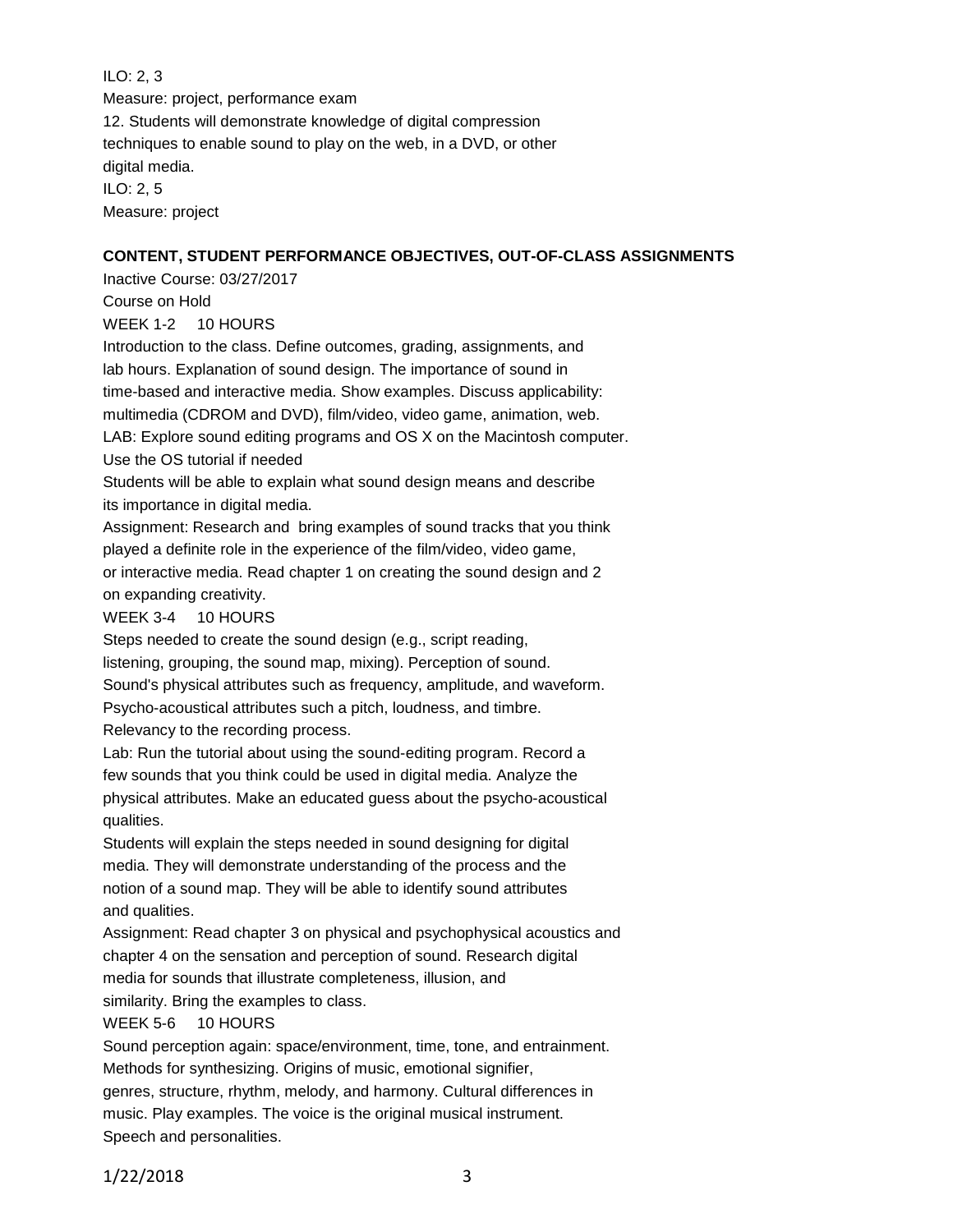## ILO: 2, 3

Measure: project, performance exam 12. Students will demonstrate knowledge of digital compression techniques to enable sound to play on the web, in a DVD, or other digital media. ILO: 2, 5

Measure: project

## **CONTENT, STUDENT PERFORMANCE OBJECTIVES, OUT-OF-CLASS ASSIGNMENTS**

Inactive Course: 03/27/2017

Course on Hold WEEK 1-2 10 HOURS

Introduction to the class. Define outcomes, grading, assignments, and lab hours. Explanation of sound design. The importance of sound in

time-based and interactive media. Show examples. Discuss applicability:

multimedia (CDROM and DVD), film/video, video game, animation, web.

LAB: Explore sound editing programs and OS X on the Macintosh computer. Use the OS tutorial if needed

Students will be able to explain what sound design means and describe its importance in digital media.

Assignment: Research and bring examples of sound tracks that you think played a definite role in the experience of the film/video, video game, or interactive media. Read chapter 1 on creating the sound design and 2 on expanding creativity.

WEEK 3-4 10 HOURS

Steps needed to create the sound design (e.g., script reading, listening, grouping, the sound map, mixing). Perception of sound. Sound's physical attributes such as frequency, amplitude, and waveform. Psycho-acoustical attributes such a pitch, loudness, and timbre. Relevancy to the recording process.

Lab: Run the tutorial about using the sound-editing program. Record a few sounds that you think could be used in digital media. Analyze the physical attributes. Make an educated guess about the psycho-acoustical qualities.

Students will explain the steps needed in sound designing for digital media. They will demonstrate understanding of the process and the notion of a sound map. They will be able to identify sound attributes and qualities.

Assignment: Read chapter 3 on physical and psychophysical acoustics and chapter 4 on the sensation and perception of sound. Research digital media for sounds that illustrate completeness, illusion, and

similarity. Bring the examples to class.

# WEEK 5-6 10 HOURS

Sound perception again: space/environment, time, tone, and entrainment. Methods for synthesizing. Origins of music, emotional signifier, genres, structure, rhythm, melody, and harmony. Cultural differences in music. Play examples. The voice is the original musical instrument. Speech and personalities.

1/22/2018 3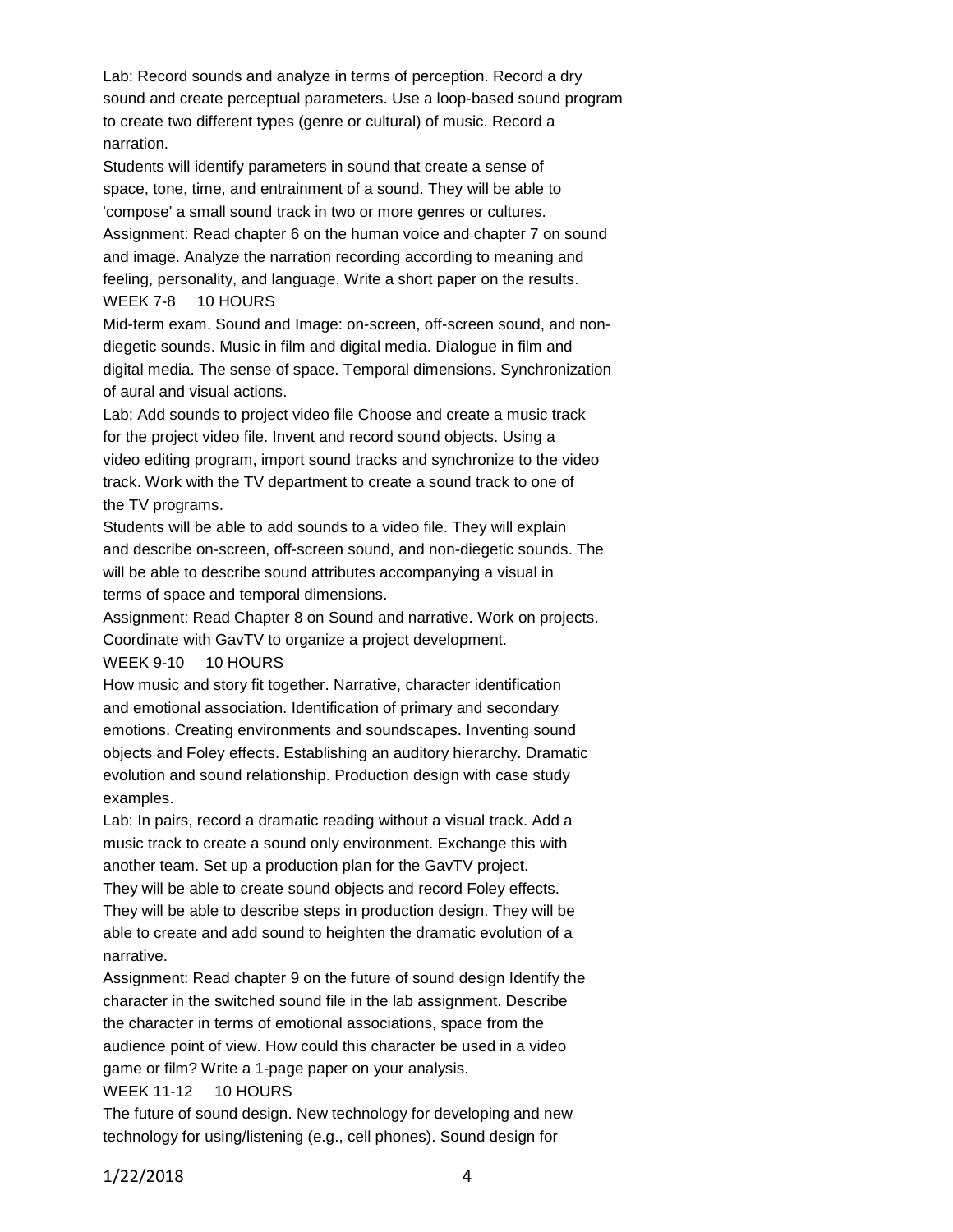Lab: Record sounds and analyze in terms of perception. Record a dry sound and create perceptual parameters. Use a loop-based sound program to create two different types (genre or cultural) of music. Record a narration.

Students will identify parameters in sound that create a sense of space, tone, time, and entrainment of a sound. They will be able to 'compose' a small sound track in two or more genres or cultures. Assignment: Read chapter 6 on the human voice and chapter 7 on sound and image. Analyze the narration recording according to meaning and feeling, personality, and language. Write a short paper on the results. WEEK 7-8 10 HOURS

Mid-term exam. Sound and Image: on-screen, off-screen sound, and nondiegetic sounds. Music in film and digital media. Dialogue in film and digital media. The sense of space. Temporal dimensions. Synchronization of aural and visual actions.

Lab: Add sounds to project video file Choose and create a music track for the project video file. Invent and record sound objects. Using a video editing program, import sound tracks and synchronize to the video track. Work with the TV department to create a sound track to one of the TV programs.

Students will be able to add sounds to a video file. They will explain and describe on-screen, off-screen sound, and non-diegetic sounds. The will be able to describe sound attributes accompanying a visual in terms of space and temporal dimensions.

Assignment: Read Chapter 8 on Sound and narrative. Work on projects. Coordinate with GavTV to organize a project development.

#### WEEK 9-10 10 HOURS

How music and story fit together. Narrative, character identification and emotional association. Identification of primary and secondary emotions. Creating environments and soundscapes. Inventing sound objects and Foley effects. Establishing an auditory hierarchy. Dramatic evolution and sound relationship. Production design with case study examples.

Lab: In pairs, record a dramatic reading without a visual track. Add a music track to create a sound only environment. Exchange this with another team. Set up a production plan for the GavTV project.

They will be able to create sound objects and record Foley effects. They will be able to describe steps in production design. They will be able to create and add sound to heighten the dramatic evolution of a narrative.

Assignment: Read chapter 9 on the future of sound design Identify the character in the switched sound file in the lab assignment. Describe the character in terms of emotional associations, space from the audience point of view. How could this character be used in a video game or film? Write a 1-page paper on your analysis.

#### WEEK 11-12 10 HOURS

The future of sound design. New technology for developing and new technology for using/listening (e.g., cell phones). Sound design for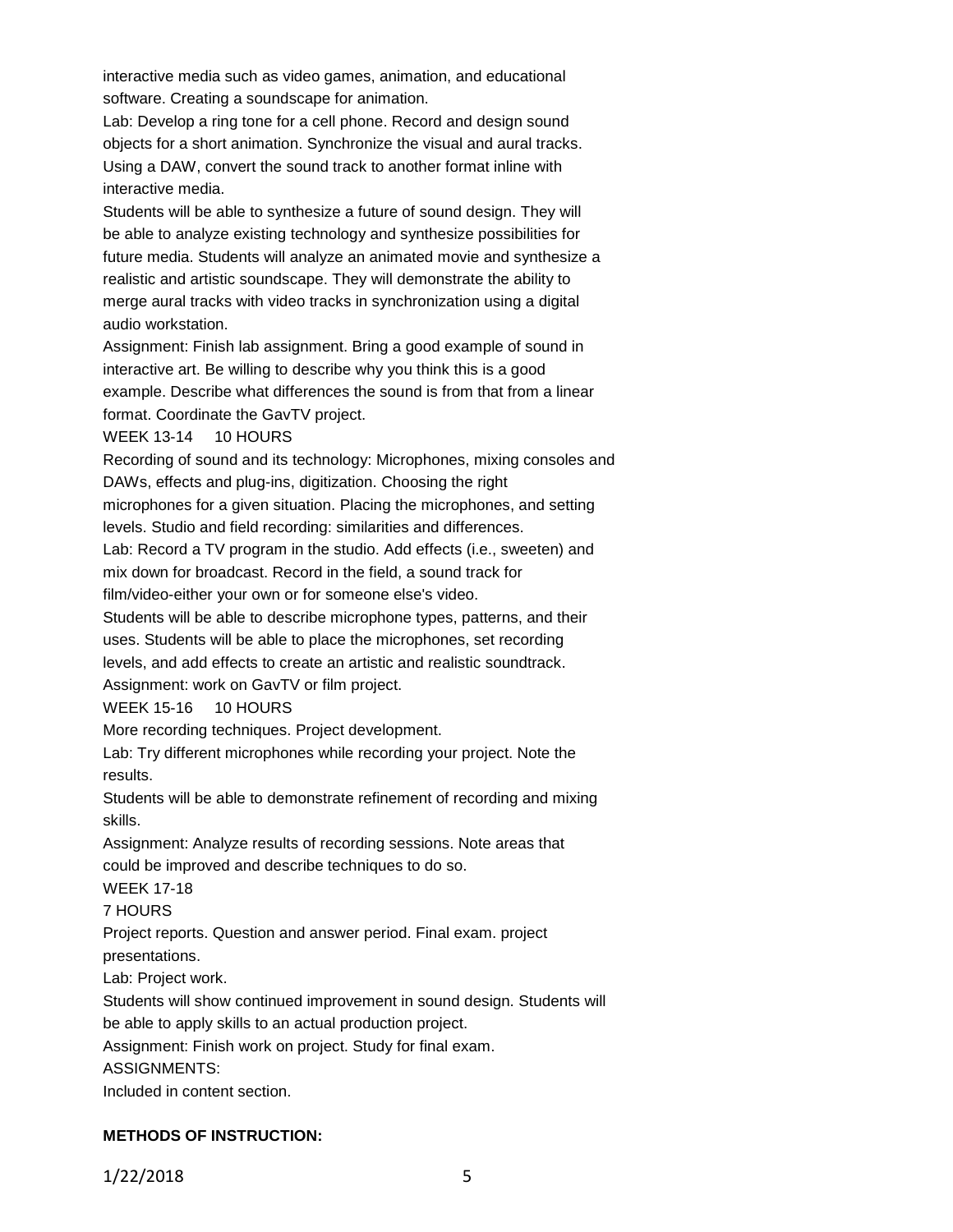interactive media such as video games, animation, and educational software. Creating a soundscape for animation.

Lab: Develop a ring tone for a cell phone. Record and design sound objects for a short animation. Synchronize the visual and aural tracks. Using a DAW, convert the sound track to another format inline with interactive media.

Students will be able to synthesize a future of sound design. They will be able to analyze existing technology and synthesize possibilities for future media. Students will analyze an animated movie and synthesize a realistic and artistic soundscape. They will demonstrate the ability to merge aural tracks with video tracks in synchronization using a digital audio workstation.

Assignment: Finish lab assignment. Bring a good example of sound in interactive art. Be willing to describe why you think this is a good example. Describe what differences the sound is from that from a linear format. Coordinate the GavTV project.

### WEEK 13-14 10 HOURS

Recording of sound and its technology: Microphones, mixing consoles and DAWs, effects and plug-ins, digitization. Choosing the right

microphones for a given situation. Placing the microphones, and setting levels. Studio and field recording: similarities and differences.

Lab: Record a TV program in the studio. Add effects (i.e., sweeten) and mix down for broadcast. Record in the field, a sound track for

film/video-either your own or for someone else's video.

Students will be able to describe microphone types, patterns, and their uses. Students will be able to place the microphones, set recording levels, and add effects to create an artistic and realistic soundtrack. Assignment: work on GavTV or film project.

### WEEK 15-16 10 HOURS

More recording techniques. Project development.

Lab: Try different microphones while recording your project. Note the results.

Students will be able to demonstrate refinement of recording and mixing skills.

Assignment: Analyze results of recording sessions. Note areas that could be improved and describe techniques to do so.

WEEK 17-18

7 HOURS

Project reports. Question and answer period. Final exam. project presentations.

Lab: Project work.

Students will show continued improvement in sound design. Students will be able to apply skills to an actual production project.

Assignment: Finish work on project. Study for final exam.

ASSIGNMENTS:

Included in content section.

# **METHODS OF INSTRUCTION:**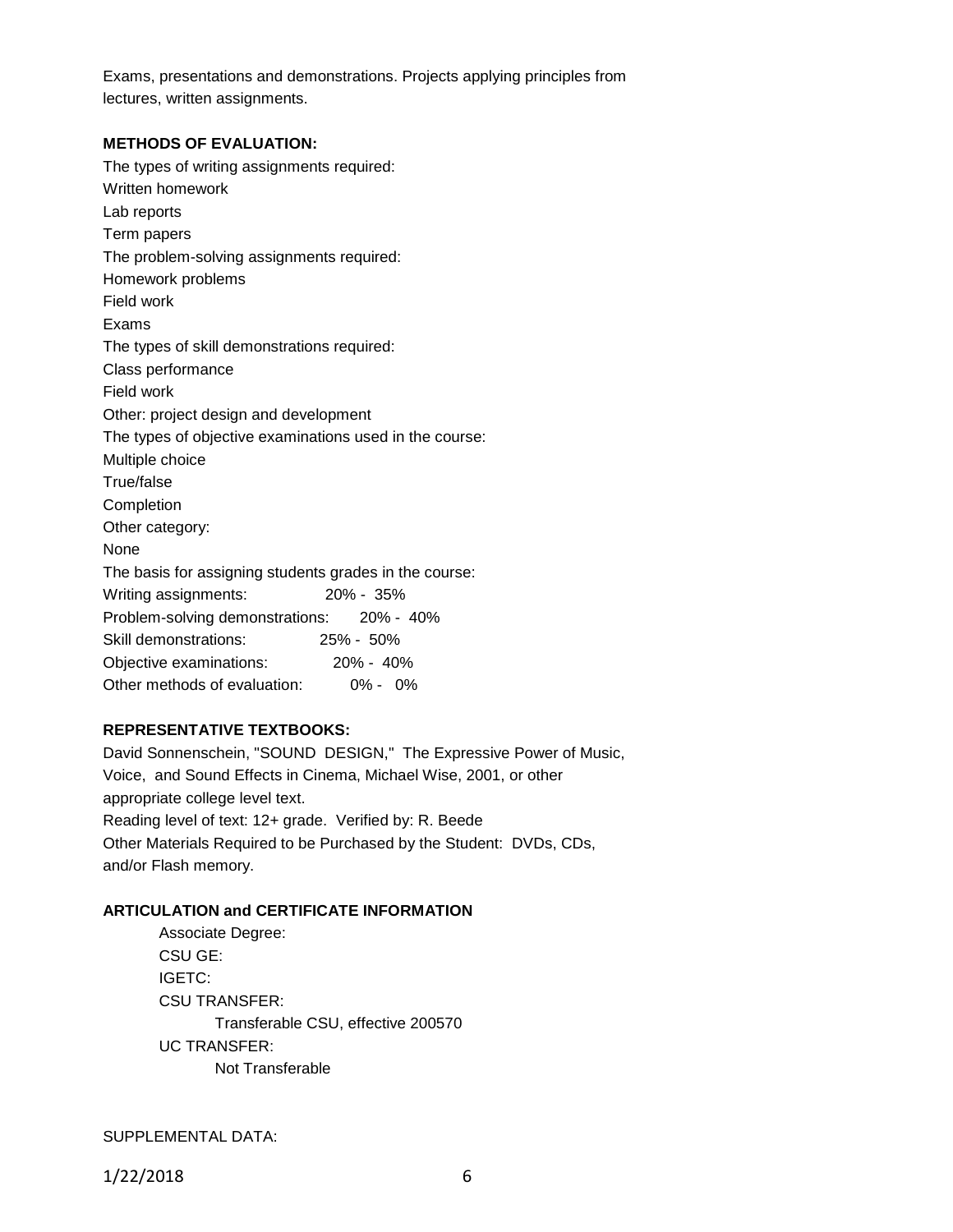Exams, presentations and demonstrations. Projects applying principles from lectures, written assignments.

#### **METHODS OF EVALUATION:**

The types of writing assignments required: Written homework Lab reports Term papers The problem-solving assignments required: Homework problems Field work Exams The types of skill demonstrations required: Class performance Field work Other: project design and development The types of objective examinations used in the course: Multiple choice True/false Completion Other category: None The basis for assigning students grades in the course: Writing assignments: 20% - 35% Problem-solving demonstrations: 20% - 40% Skill demonstrations: 25% - 50% Objective examinations: 20% - 40% Other methods of evaluation: 0% - 0%

### **REPRESENTATIVE TEXTBOOKS:**

David Sonnenschein, "SOUND DESIGN," The Expressive Power of Music, Voice, and Sound Effects in Cinema, Michael Wise, 2001, or other appropriate college level text. Reading level of text: 12+ grade. Verified by: R. Beede Other Materials Required to be Purchased by the Student: DVDs, CDs, and/or Flash memory.

#### **ARTICULATION and CERTIFICATE INFORMATION**

Associate Degree: CSU GE: IGETC: CSU TRANSFER: Transferable CSU, effective 200570 UC TRANSFER: Not Transferable

SUPPLEMENTAL DATA: